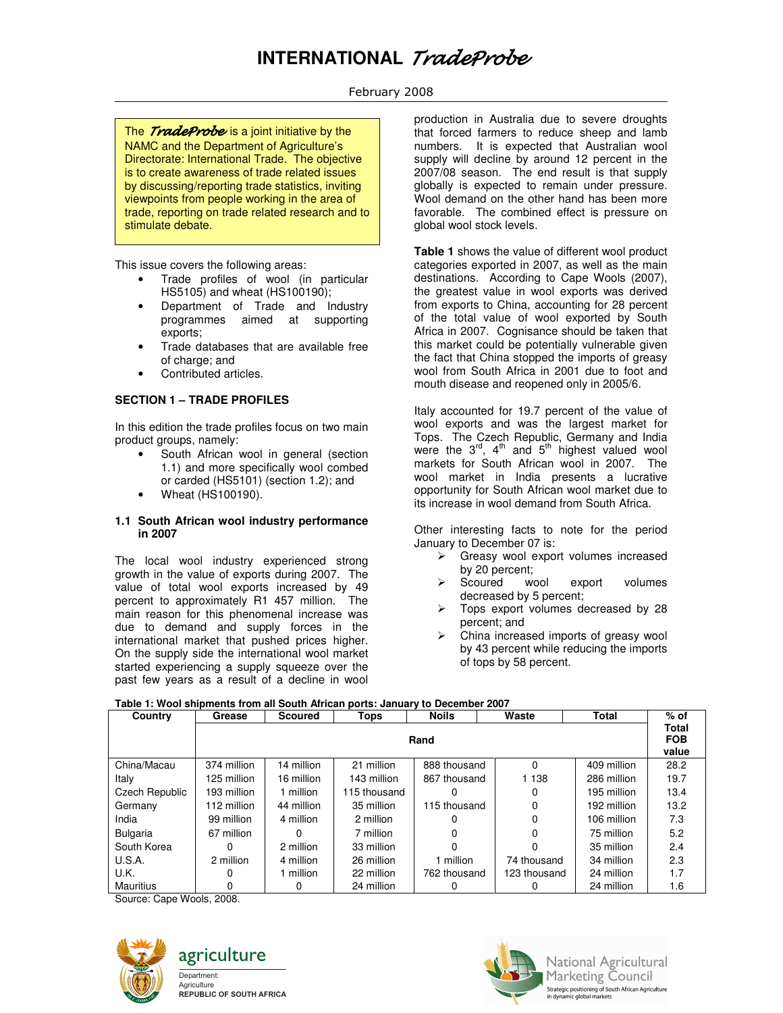# **INTERNATIONAL** TradeProbe

# February 2008

The *TradeProbe* is a joint initiative by the NAMC and the Department of Agriculture's Directorate: International Trade. The objective is to create awareness of trade related issues by discussing/reporting trade statistics, inviting viewpoints from people working in the area of trade, reporting on trade related research and to stimulate debate.

This issue covers the following areas:

- Trade profiles of wool (in particular HS5105) and wheat (HS100190);
- Department of Trade and Industry programmes aimed at supporting exports;
- Trade databases that are available free of charge; and
- Contributed articles.

## **SECTION 1 – TRADE PROFILES**

In this edition the trade profiles focus on two main product groups, namely:

- South African wool in general (section 1.1) and more specifically wool combed or carded (HS5101) (section 1.2); and
- Wheat (HS100190).

#### **1.1 South African wool industry performance in 2007**

The local wool industry experienced strong growth in the value of exports during 2007. The value of total wool exports increased by 49 percent to approximately R1 457 million. The main reason for this phenomenal increase was due to demand and supply forces in the international market that pushed prices higher. On the supply side the international wool market started experiencing a supply squeeze over the past few years as a result of a decline in wool

production in Australia due to severe droughts that forced farmers to reduce sheep and lamb numbers. It is expected that Australian wool supply will decline by around 12 percent in the 2007/08 season. The end result is that supply globally is expected to remain under pressure. Wool demand on the other hand has been more favorable. The combined effect is pressure on global wool stock levels.

**Table 1** shows the value of different wool product categories exported in 2007, as well as the main destinations. According to Cape Wools (2007), the greatest value in wool exports was derived from exports to China, accounting for 28 percent of the total value of wool exported by South Africa in 2007. Cognisance should be taken that this market could be potentially vulnerable given the fact that China stopped the imports of greasy wool from South Africa in 2001 due to foot and mouth disease and reopened only in 2005/6.

Italy accounted for 19.7 percent of the value of wool exports and was the largest market for Tops. The Czech Republic, Germany and India were the  $3^{rd}$ ,  $4^{th}$  and  $5^{th}$  highest valued wool markets for South African wool in 2007. The wool market in India presents a lucrative opportunity for South African wool market due to its increase in wool demand from South Africa.

Other interesting facts to note for the period January to December 07 is:

- $\triangleright$  Greasy wool export volumes increased by 20 percent;
- Scoured wool export volumes decreased by 5 percent;
- Tops export volumes decreased by 28 percent; and
- China increased imports of greasy wool by 43 percent while reducing the imports of tops by 58 percent.

### **Table 1: Wool shipments from all South African ports: January to December 2007**

| Country          | Grease      | <b>Scoured</b> | Tops         | <b>Noils</b> | Waste                        | <b>Total</b> | $%$ of |
|------------------|-------------|----------------|--------------|--------------|------------------------------|--------------|--------|
|                  | Rand        |                |              |              | Total<br><b>FOB</b><br>value |              |        |
| China/Macau      | 374 million | 14 million     | 21 million   | 888 thousand | 0                            | 409 million  | 28.2   |
| Italy            | 125 million | 16 million     | 143 million  | 867 thousand | 1 1 3 8                      | 286 million  | 19.7   |
| Czech Republic   | 193 million | 1 million      | 115 thousand |              | 0                            | 195 million  | 13.4   |
| Germany          | 112 million | 44 million     | 35 million   | 115 thousand | 0                            | 192 million  | 13.2   |
| India            | 99 million  | 4 million      | 2 million    |              | 0                            | 106 million  | 7.3    |
| <b>Bulgaria</b>  | 67 million  | 0              | 7 million    |              |                              | 75 million   | 5.2    |
| South Korea      | ი           | 2 million      | 33 million   |              |                              | 35 million   | 2.4    |
| U.S.A.           | 2 million   | 4 million      | 26 million   | 1 million    | 74 thousand                  | 34 million   | 2.3    |
| U.K.             | O           | 1 million      | 22 million   | 762 thousand | 123 thousand                 | 24 million   | 1.7    |
| <b>Mauritius</b> |             | 0              | 24 million   |              |                              | 24 million   | 1.6    |

Source: Cape Wools, 2008.







**National Agricultural** Marketing Council Strategic positioning of South African Agriculture<br>in dynamic global markets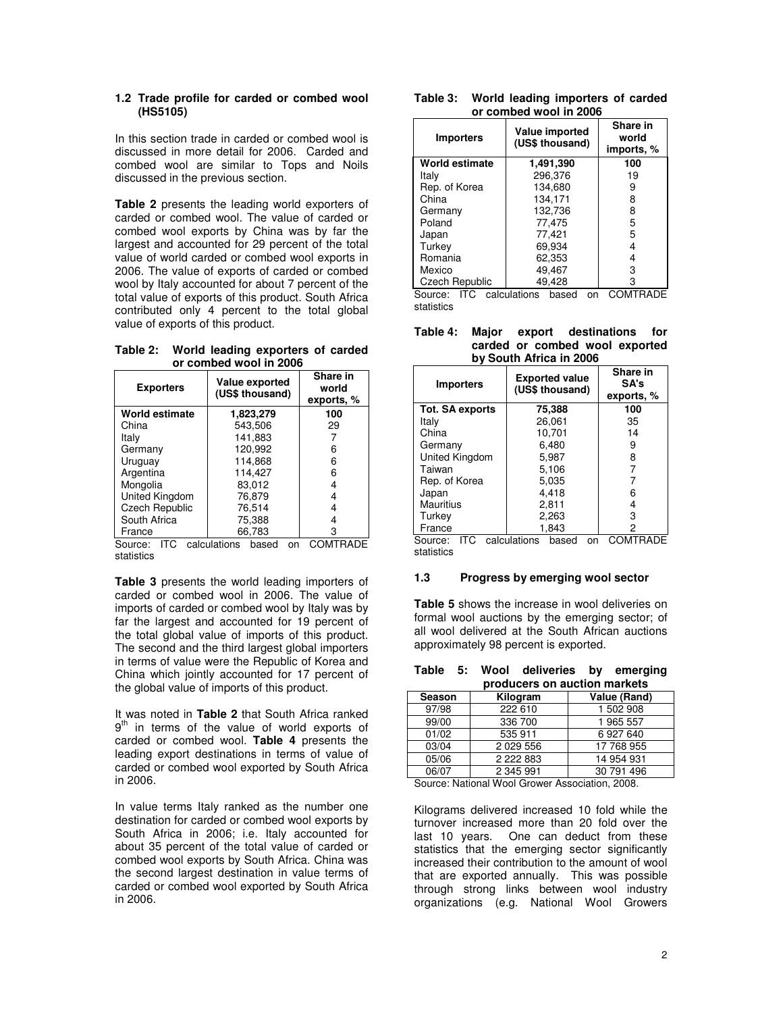### **1.2 Trade profile for carded or combed wool (HS5105)**

In this section trade in carded or combed wool is discussed in more detail for 2006. Carded and combed wool are similar to Tops and Noils discussed in the previous section.

**Table 2** presents the leading world exporters of carded or combed wool. The value of carded or combed wool exports by China was by far the largest and accounted for 29 percent of the total value of world carded or combed wool exports in 2006. The value of exports of carded or combed wool by Italy accounted for about 7 percent of the total value of exports of this product. South Africa contributed only 4 percent to the total global value of exports of this product.

**Table 2: World leading exporters of carded or combed wool in 2006** 

| <b>Exporters</b>      | Value exported<br>(US\$ thousand) | Share in<br>world<br>exports, % |
|-----------------------|-----------------------------------|---------------------------------|
| World estimate        | 1,823,279                         | 100                             |
| China                 | 543.506                           | 29                              |
| Italv                 | 141.883                           |                                 |
| Germany               | 120.992                           | 6                               |
| Uruguay               | 114.868                           | 6                               |
| Argentina             | 114.427                           | 6                               |
| Mongolia              | 83,012                            | 4                               |
| United Kingdom        | 76.879                            |                                 |
| <b>Czech Republic</b> | 76.514                            | 4                               |
| South Africa          | 75,388                            |                                 |
| France                | 66.783                            |                                 |

Source: ITC calculations based on COMTRADE statistics

**Table 3** presents the world leading importers of carded or combed wool in 2006. The value of imports of carded or combed wool by Italy was by far the largest and accounted for 19 percent of the total global value of imports of this product. The second and the third largest global importers in terms of value were the Republic of Korea and China which jointly accounted for 17 percent of the global value of imports of this product.

It was noted in **Table 2** that South Africa ranked  $9<sup>th</sup>$  in terms of the value of world exports of carded or combed wool. **Table 4** presents the leading export destinations in terms of value of carded or combed wool exported by South Africa in 2006.

In value terms Italy ranked as the number one destination for carded or combed wool exports by South Africa in 2006; i.e. Italy accounted for about 35 percent of the total value of carded or combed wool exports by South Africa. China was the second largest destination in value terms of carded or combed wool exported by South Africa in 2006.

| Table 3: | World leading importers of carded |
|----------|-----------------------------------|
|          | or combed wool in 2006            |

| <b>Importers</b>      | <b>Value imported</b><br>(US\$ thousand) | Share in<br>world<br>imports, % |
|-----------------------|------------------------------------------|---------------------------------|
| World estimate        | 1,491,390                                | 100                             |
| Italv                 | 296.376                                  | 19                              |
| Rep. of Korea         | 134,680                                  | 9                               |
| China                 | 134,171                                  | 8                               |
| Germany               | 132,736                                  | 8                               |
| Poland                | 77.475                                   | 5                               |
| Japan                 | 77.421                                   | 5                               |
| Turkey                | 69.934                                   | 4                               |
| Romania               | 62,353                                   | 4                               |
| Mexico                | 49,467                                   | 3                               |
| <b>Czech Republic</b> | 49.428                                   | 3                               |

Source: ITC calculations based on COMTRADE statistics

|  |                         | Table 4: Major export destinations for |
|--|-------------------------|----------------------------------------|
|  |                         | carded or combed wool exported         |
|  | by South Africa in 2006 |                                        |

| <b>Importers</b>       | <b>Exported value</b><br>(US\$ thousand) | Share in<br>SA's<br>exports, % |
|------------------------|------------------------------------------|--------------------------------|
| <b>Tot. SA exports</b> | 75,388                                   | 100                            |
| Italy                  | 26.061                                   | 35                             |
| China                  | 10,701                                   | 14                             |
| Germany                | 6,480                                    | 9                              |
| United Kingdom         | 5.987                                    | 8                              |
| Taiwan                 | 5.106                                    |                                |
| Rep. of Korea          | 5,035                                    |                                |
| Japan                  | 4.418                                    | 6                              |
| Mauritius              | 2.811                                    | 4                              |
| Turkey                 | 2.263                                    | 3                              |
| France                 | 1.843                                    | 2                              |

Source: ITC calculations based on COMTRADE statistics

## **1.3 Progress by emerging wool sector**

**Table 5** shows the increase in wool deliveries on formal wool auctions by the emerging sector; of all wool delivered at the South African auctions approximately 98 percent is exported.

|  | Table 5: Wool deliveries by emerging |  |
|--|--------------------------------------|--|
|  | producers on auction markets         |  |

| Season | Kilogram     | Value (Rand) |  |  |
|--------|--------------|--------------|--|--|
| 97/98  | 222 610      | 1 502 908    |  |  |
| 99/00  | 336 700      | 1 965 557    |  |  |
| 01/02  | 535 911      | 6927640      |  |  |
| 03/04  | 2 0 29 5 5 6 | 17 768 955   |  |  |
| 05/06  | 2 2 2 8 8 3  | 14 954 931   |  |  |
| 06/07  | 2 345 991    | 30 791 496   |  |  |

Source: National Wool Grower Association, 2008.

Kilograms delivered increased 10 fold while the turnover increased more than 20 fold over the last 10 years. One can deduct from these statistics that the emerging sector significantly increased their contribution to the amount of wool that are exported annually. This was possible through strong links between wool industry organizations (e.g. National Wool Growers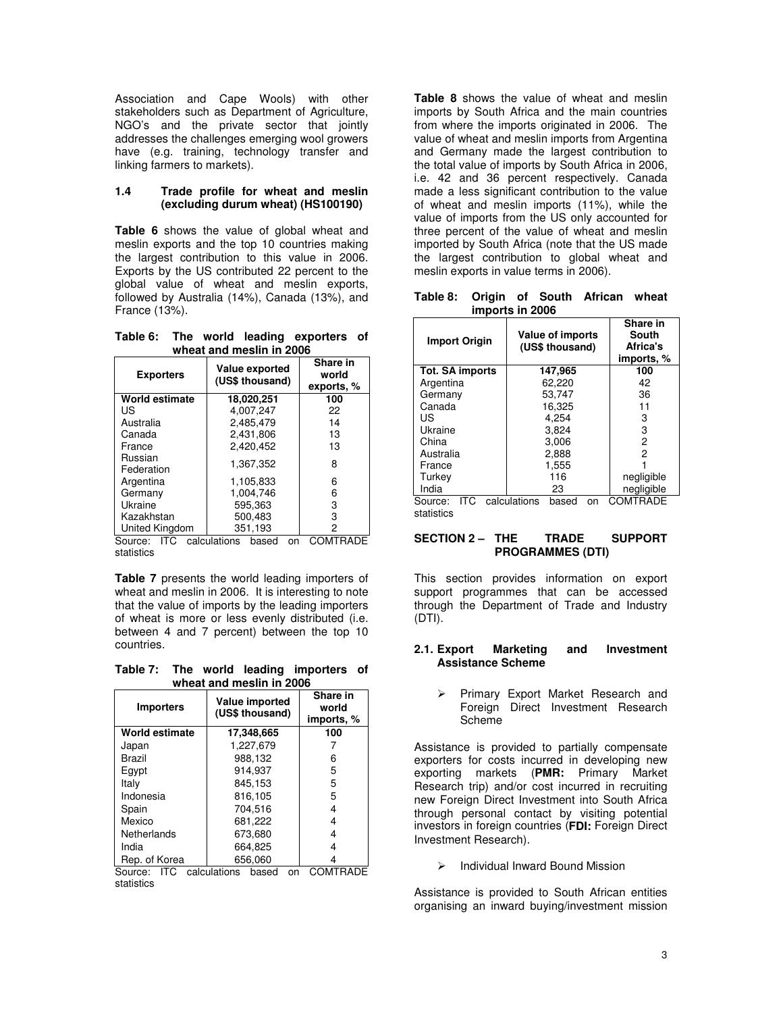Association and Cape Wools) with other stakeholders such as Department of Agriculture, NGO's and the private sector that jointly addresses the challenges emerging wool growers have (e.g. training, technology transfer and linking farmers to markets).

#### **1.4 Trade profile for wheat and meslin (excluding durum wheat) (HS100190)**

**Table 6** shows the value of global wheat and meslin exports and the top 10 countries making the largest contribution to this value in 2006. Exports by the US contributed 22 percent to the global value of wheat and meslin exports, followed by Australia (14%), Canada (13%), and France (13%).

**Table 6: The world leading exporters of wheat and meslin in 2006** 

| <b>Exporters</b>      | <b>Value exported</b><br>(US\$ thousand) | Share in<br>world<br>exports, % |  |  |  |  |
|-----------------------|------------------------------------------|---------------------------------|--|--|--|--|
| World estimate        | 18,020,251                               | 100                             |  |  |  |  |
| US                    | 4.007.247                                | 22                              |  |  |  |  |
| Australia             | 2,485,479                                | 14                              |  |  |  |  |
| Canada                | 2,431,806                                | 13                              |  |  |  |  |
| France                | 2.420.452                                | 13                              |  |  |  |  |
| Russian<br>Federation | 1.367.352                                | 8                               |  |  |  |  |
| Argentina             | 1,105,833                                | 6                               |  |  |  |  |
| Germany               | 1.004.746                                | 6                               |  |  |  |  |
| Ukraine               | 595.363                                  | 3                               |  |  |  |  |
| Kazakhstan            | 500.483                                  | 3                               |  |  |  |  |
| United Kingdom        | 351.193                                  | 2                               |  |  |  |  |

Source: ITC calculations based on COMTRADE statistics

**Table 7** presents the world leading importers of wheat and meslin in 2006. It is interesting to note that the value of imports by the leading importers of wheat is more or less evenly distributed (i.e. between 4 and 7 percent) between the top 10 countries.

**Table 7: The world leading importers of wheat and meslin in 2006** 

| <b>Importers</b>      | Value imported<br>(US\$ thousand) | Share in<br>world<br>imports, % |
|-----------------------|-----------------------------------|---------------------------------|
| <b>World estimate</b> | 17,348,665                        | 100                             |
| Japan                 | 1.227.679                         |                                 |
| Brazil                | 988,132                           | 6                               |
| Egypt                 | 914.937                           | 5                               |
| Italy                 | 845.153                           | 5                               |
| Indonesia             | 816.105                           | 5                               |
| Spain                 | 704.516                           | 4                               |
| Mexico                | 681,222                           | 4                               |
| Netherlands           | 673.680                           | 4                               |
| India                 | 664,825                           |                                 |
| Rep. of Korea         | 656.060                           |                                 |

Source: ITC calculations based on COMTRADE statistics

**Table 8** shows the value of wheat and meslin imports by South Africa and the main countries from where the imports originated in 2006. The value of wheat and meslin imports from Argentina and Germany made the largest contribution to the total value of imports by South Africa in 2006, i.e. 42 and 36 percent respectively. Canada made a less significant contribution to the value of wheat and meslin imports (11%), while the value of imports from the US only accounted for three percent of the value of wheat and meslin imported by South Africa (note that the US made the largest contribution to global wheat and meslin exports in value terms in 2006).

**Table 8: Origin of South African wheat imports in 2006** 

| <b>Import Origin</b>   | Value of imports<br>(US\$ thousand) | Share in<br>South<br>Africa's<br>imports, % |  |  |  |
|------------------------|-------------------------------------|---------------------------------------------|--|--|--|
| <b>Tot. SA imports</b> | 147,965                             | 100                                         |  |  |  |
| Argentina              | 62.220                              | 42                                          |  |  |  |
| Germany                | 53.747                              | 36                                          |  |  |  |
| Canada                 | 16.325                              | 11                                          |  |  |  |
| US                     | 4.254                               | 3                                           |  |  |  |
| Ukraine                | 3.824                               | 3                                           |  |  |  |
| China                  | 3,006                               | 2                                           |  |  |  |
| Australia              | 2,888                               | 2                                           |  |  |  |
| France                 | 1,555                               |                                             |  |  |  |
| Turkey                 | 116                                 | negligible                                  |  |  |  |
| India                  | 23                                  | negligible                                  |  |  |  |
| ITC<br>Source:         | calculations<br>based<br>on         | COMTRADE                                    |  |  |  |

statistics

### **SECTION 2 – THE TRADE SUPPORT PROGRAMMES (DTI)**

This section provides information on export support programmes that can be accessed through the Department of Trade and Industry (DTI).

#### **2.1. Export Marketing and Investment Assistance Scheme**

 Primary Export Market Research and Foreign Direct Investment Research Scheme

Assistance is provided to partially compensate exporters for costs incurred in developing new exporting markets (**PMR:** Primary Market Research trip) and/or cost incurred in recruiting new Foreign Direct Investment into South Africa through personal contact by visiting potential investors in foreign countries (**FDI:** Foreign Direct Investment Research).

Individual Inward Bound Mission

Assistance is provided to South African entities organising an inward buying/investment mission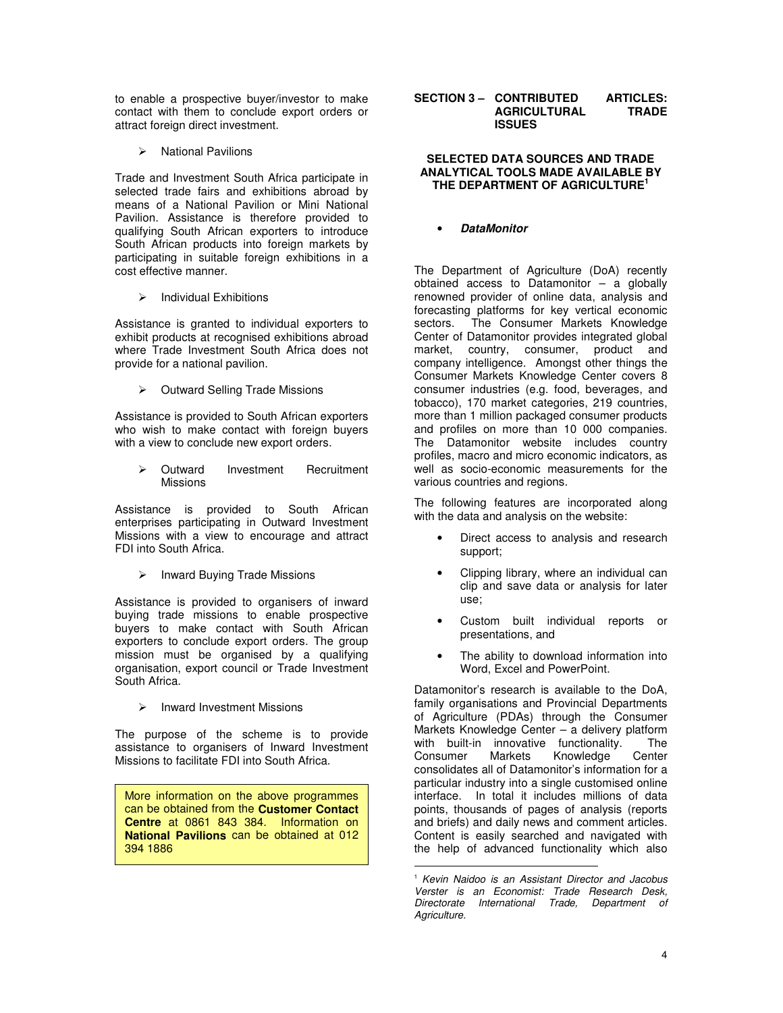to enable a prospective buyer/investor to make contact with them to conclude export orders or attract foreign direct investment.

 $\triangleright$  National Pavilions

Trade and Investment South Africa participate in selected trade fairs and exhibitions abroad by means of a National Pavilion or Mini National Pavilion. Assistance is therefore provided to qualifying South African exporters to introduce South African products into foreign markets by participating in suitable foreign exhibitions in a cost effective manner.

 $\triangleright$  Individual Exhibitions

Assistance is granted to individual exporters to exhibit products at recognised exhibitions abroad where Trade Investment South Africa does not provide for a national pavilion.

 $\triangleright$  Outward Selling Trade Missions

Assistance is provided to South African exporters who wish to make contact with foreign buyers with a view to conclude new export orders.

 Outward Investment Recruitment Missions

Assistance is provided to South African enterprises participating in Outward Investment Missions with a view to encourage and attract FDI into South Africa.

 $\triangleright$  Inward Buying Trade Missions

Assistance is provided to organisers of inward buying trade missions to enable prospective buyers to make contact with South African exporters to conclude export orders. The group mission must be organised by a qualifying organisation, export council or Trade Investment South Africa.

 $\triangleright$  Inward Investment Missions

The purpose of the scheme is to provide assistance to organisers of Inward Investment Missions to facilitate FDI into South Africa.

More information on the above programmes can be obtained from the **Customer Contact Centre** at 0861 843 384. Information on **National Pavilions** can be obtained at 012 394 1886

#### **SECTION 3 – CONTRIBUTED ARTICLES: AGRICULTURAL TRADE ISSUES**

### **SELECTED DATA SOURCES AND TRADE ANALYTICAL TOOLS MADE AVAILABLE BY THE DEPARTMENT OF AGRICULTURE<sup>1</sup>**

# • **DataMonitor**

The Department of Agriculture (DoA) recently obtained access to Datamonitor – a globally renowned provider of online data, analysis and forecasting platforms for key vertical economic sectors. The Consumer Markets Knowledge Center of Datamonitor provides integrated global market, country, consumer, product and company intelligence. Amongst other things the Consumer Markets Knowledge Center covers 8 consumer industries (e.g. food, beverages, and tobacco), 170 market categories, 219 countries, more than 1 million packaged consumer products and profiles on more than 10 000 companies. The Datamonitor website includes country profiles, macro and micro economic indicators, as well as socio-economic measurements for the various countries and regions.

The following features are incorporated along with the data and analysis on the website:

- Direct access to analysis and research support;
- Clipping library, where an individual can clip and save data or analysis for later use;
- Custom built individual reports or presentations, and
- The ability to download information into Word, Excel and PowerPoint.

Datamonitor's research is available to the DoA, family organisations and Provincial Departments of Agriculture (PDAs) through the Consumer Markets Knowledge Center – a delivery platform with built-in innovative functionality. The Consumer Markets Knowledge Center consolidates all of Datamonitor's information for a particular industry into a single customised online interface. In total it includes millions of data points, thousands of pages of analysis (reports and briefs) and daily news and comment articles. Content is easily searched and navigated with the help of advanced functionality which also

 $\overline{a}$ 

<sup>&</sup>lt;sup>1</sup> Kevin Naidoo is an Assistant Director and Jacobus Verster is an Economist: Trade Research Desk, Directorate International Trade, Department of Agriculture.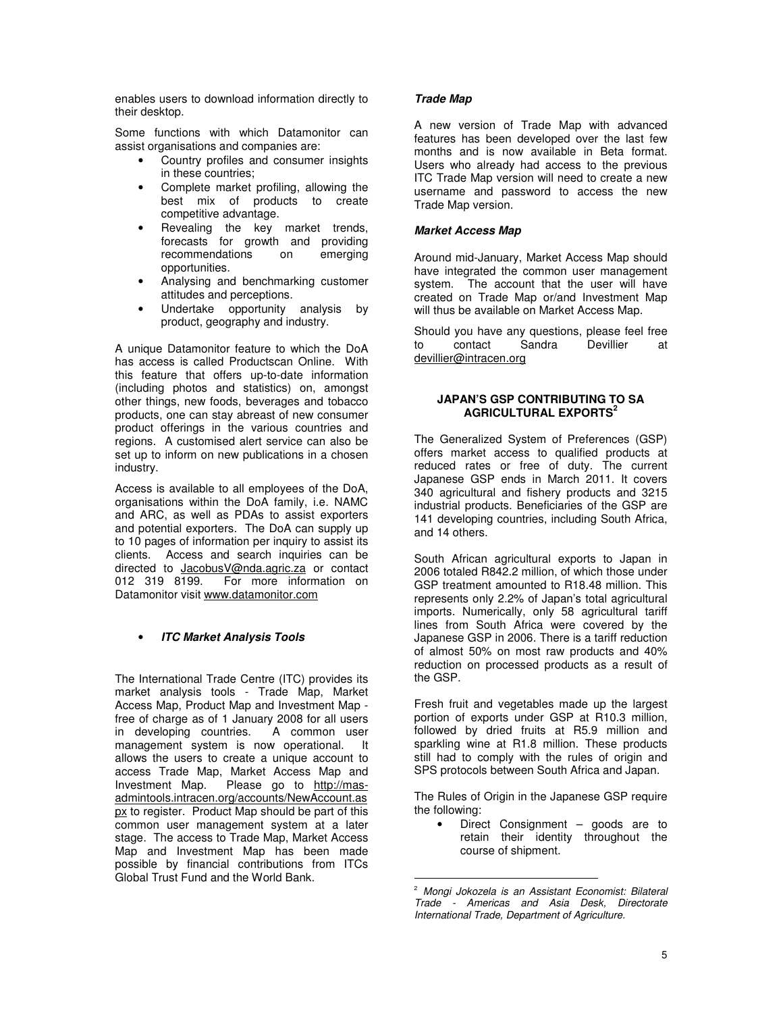enables users to download information directly to their desktop.

Some functions with which Datamonitor can assist organisations and companies are:

- Country profiles and consumer insights in these countries;
- Complete market profiling, allowing the best mix of products to create competitive advantage.
- Revealing the key market trends, forecasts for growth and providing<br>recommendations on emerging recommendations opportunities.
- Analysing and benchmarking customer attitudes and perceptions.
- Undertake opportunity analysis by product, geography and industry.

A unique Datamonitor feature to which the DoA has access is called Productscan Online. With this feature that offers up-to-date information (including photos and statistics) on, amongst other things, new foods, beverages and tobacco products, one can stay abreast of new consumer product offerings in the various countries and regions. A customised alert service can also be set up to inform on new publications in a chosen industry.

Access is available to all employees of the DoA, organisations within the DoA family, i.e. NAMC and ARC, as well as PDAs to assist exporters and potential exporters. The DoA can supply up to 10 pages of information per inquiry to assist its clients. Access and search inquiries can be directed to **JacobusV@nda.agric.za** or contact<br>012 319 8199. For more information on For more information on Datamonitor visit www.datamonitor.com

# • **ITC Market Analysis Tools**

The International Trade Centre (ITC) provides its market analysis tools - Trade Map, Market Access Map, Product Map and Investment Map free of charge as of 1 January 2008 for all users in developing countries. A common user management system is now operational. It allows the users to create a unique account to access Trade Map, Market Access Map and<br>Investment Map. Please go to http://mas-Please go to http://masadmintools.intracen.org/accounts/NewAccount.as px to register. Product Map should be part of this common user management system at a later stage. The access to Trade Map, Market Access Map and Investment Map has been made possible by financial contributions from ITCs Global Trust Fund and the World Bank.

## **Trade Map**

A new version of Trade Map with advanced features has been developed over the last few months and is now available in Beta format. Users who already had access to the previous ITC Trade Map version will need to create a new username and password to access the new Trade Map version.

## **Market Access Map**

Around mid-January, Market Access Map should have integrated the common user management system. The account that the user will have created on Trade Map or/and Investment Map will thus be available on Market Access Map.

Should you have any questions, please feel free<br>to contact Sandra Devillier at to contact Sandra Devillier at devillier@intracen.org

#### **JAPAN'S GSP CONTRIBUTING TO SA AGRICULTURAL EXPORTS<sup>2</sup>**

The Generalized System of Preferences (GSP) offers market access to qualified products at reduced rates or free of duty. The current Japanese GSP ends in March 2011. It covers 340 agricultural and fishery products and 3215 industrial products. Beneficiaries of the GSP are 141 developing countries, including South Africa, and 14 others.

South African agricultural exports to Japan in 2006 totaled R842.2 million, of which those under GSP treatment amounted to R18.48 million. This represents only 2.2% of Japan's total agricultural imports. Numerically, only 58 agricultural tariff lines from South Africa were covered by the Japanese GSP in 2006. There is a tariff reduction of almost 50% on most raw products and 40% reduction on processed products as a result of the GSP.

Fresh fruit and vegetables made up the largest portion of exports under GSP at R10.3 million, followed by dried fruits at R5.9 million and sparkling wine at R1.8 million. These products still had to comply with the rules of origin and SPS protocols between South Africa and Japan.

The Rules of Origin in the Japanese GSP require the following:

Direct Consignment  $-$  goods are to retain their identity throughout the course of shipment.

 $\overline{a}$ 

<sup>&</sup>lt;sup>2</sup> Mongi Jokozela is an Assistant Economist: Bilateral Trade - Americas and Asia Desk, Directorate International Trade, Department of Agriculture.